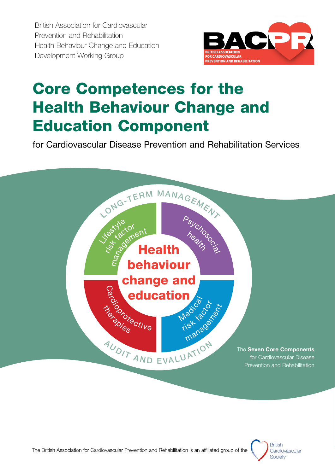British Association for Cardiovascular Prevention and Rehabilitation Health Behaviour Change and Education Development Working Group



# Core Competences for the Health Behaviour Change and Education Component

for Cardiovascular Disease Prevention and Rehabilitation Services



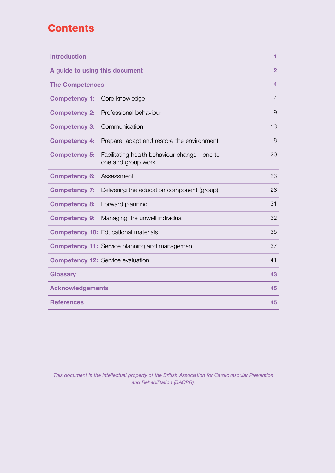# **Contents**

| <b>Introduction</b>            |                                                                     | 1              |
|--------------------------------|---------------------------------------------------------------------|----------------|
| A guide to using this document |                                                                     | $\overline{2}$ |
| <b>The Competences</b>         |                                                                     | 4              |
| <b>Competency 1:</b>           | Core knowledge                                                      | $\overline{4}$ |
| <b>Competency 2:</b>           | Professional behaviour                                              | 9              |
| <b>Competency 3:</b>           | Communication                                                       | 13             |
| <b>Competency 4:</b>           | Prepare, adapt and restore the environment                          | 18             |
| <b>Competency 5:</b>           | Facilitating health behaviour change - one to<br>one and group work | 20             |
| <b>Competency 6:</b>           | Assessment                                                          | 23             |
| <b>Competency 7:</b>           | Delivering the education component (group)                          | 26             |
| <b>Competency 8:</b>           | Forward planning                                                    | 31             |
| <b>Competency 9:</b>           | Managing the unwell individual                                      | 32             |
|                                | <b>Competency 10: Educational materials</b>                         | 35             |
|                                | <b>Competency 11:</b> Service planning and management               | 37             |
|                                | <b>Competency 12: Service evaluation</b>                            | 41             |
| <b>Glossary</b>                |                                                                     | 43             |
| <b>Acknowledgements</b>        |                                                                     | 45             |
| <b>References</b>              |                                                                     | 45             |

*This document is the intellectual property of the British Association for Cardiovascular Prevention and Rehabilitation (BACPR).*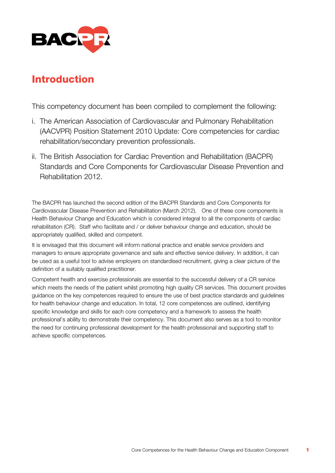

### Introduction

This competency document has been compiled to complement the following:

- i. The American Association of Cardiovascular and Pulmonary Rehabilitation (AACVPR) Position Statement 2010 Update: Core competencies for cardiac rehabilitation/secondary prevention professionals.
- ii. The British Association for Cardiac Prevention and Rehabilitation (BACPR) Standards and Core Components for Cardiovascular Disease Prevention and Rehabilitation 2012.

The BACPR has launched the second edition of the BACPR Standards and Core Components for Cardiovascular Disease Prevention and Rehabilitation (March 2012). One of these core components is Health Behaviour Change and Education which is considered integral to all the components of cardiac rehabilitation (CR). Staff who facilitate and / or deliver behaviour change and education, should be appropriately qualified, skilled and competent.

It is envisaged that this document will inform national practice and enable service providers and managers to ensure appropriate governance and safe and effective service delivery. In addition, it can be used as a useful tool to advise employers on standardised recruitment, giving a clear picture of the definition of a suitably qualified practitioner.

Competent health and exercise professionals are essential to the successful delivery of a CR service which meets the needs of the patient whilst promoting high quality CR services. This document provides guidance on the key competences required to ensure the use of best practice standards and guidelines for health behaviour change and education. In total, 12 core competences are outlined, identifying specific knowledge and skills for each core competency and a framework to assess the health professional's ability to demonstrate their competency. This document also serves as a tool to monitor the need for continuing professional development for the health professional and supporting staff to achieve specific competences.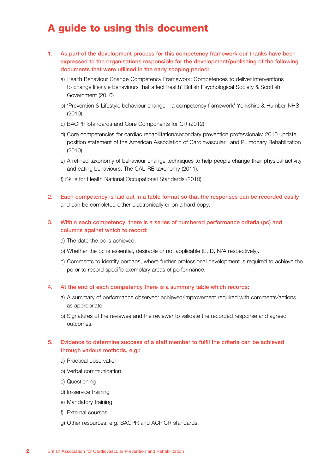### A guide to using this document

- 1. As part of the development process for this competency framework our thanks have been expressed to the organisations responsible for the development/publishing of the following documents that were utilised in the early scoping period:
	- a) Health Behaviour Change Competency Framework: Competences to deliver interventions to change lifestyle behaviours that affect health' British Psychological Society & Scottish Government (2010)
	- b) 'Prevention & Lifestyle behaviour change a competency framework' Yorkshire & Humber NHS (2010)
	- c) BACPR Standards and Core Components for CR (2012)
	- d) Core competencies for cardiac rehabilitation/secondary prevention professionals: 2010 update: position statement of the American Association of Cardiovascular and Pulmonary Rehabilitation (2010)
	- e) A refined taxonomy of behaviour change techniques to help people change their physical activity and eating behaviours. The CAL-RE taxonomy (2011).
	- f) Skills for Health National Occupational Standards (2010)
- 2. Each competency is laid out in a table format so that the responses can be recorded easily and can be completed either electronically or on a hard copy.
- 3. Within each competency, there is a series of numbered performance criteria (pc) and columns against which to record:
	- a) The date the pc is achieved.
	- b) Whether the pc is essential, desirable or not applicable (E, D, N/A respectively).
	- c) Comments to identify perhaps, where further professional development is required to achieve the pc or to record specific exemplary areas of performance.

#### 4. At the end of each competency there is a summary table which records:

- a) A summary of performance observed: achieved/improvement required with comments/actions as appropriate.
- b) Signatures of the reviewee and the reviewer to validate the recorded response and agreed outcomes.

#### 5. Evidence to determine success of a staff member to fulfil the criteria can be achieved through various methods, e.g.:

- a) Practical observation
- b) Verbal communication
- c) Questioning
- d) In-service training
- e) Mandatory training
- f) External courses
- g) Other resources, e.g. BACPR and ACPICR standards.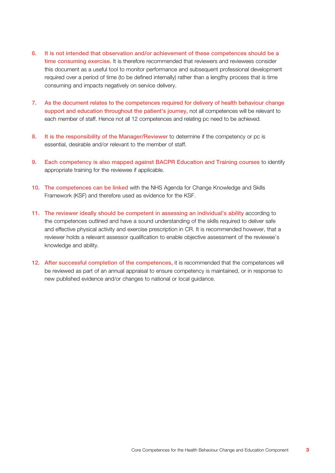- 6. It is not intended that observation and/or achievement of these competences should be a time consuming exercise. It is therefore recommended that reviewers and reviewees consider this document as a useful tool to monitor performance and subsequent professional development required over a period of time (to be defined internally) rather than a lengthy process that is time consuming and impacts negatively on service delivery.
- 7. As the document relates to the competences required for delivery of health behaviour change support and education throughout the patient's journey, not all competences will be relevant to each member of staff. Hence not all 12 competences and relating pc need to be achieved.
- 8. It is the responsibility of the Manager/Reviewer to determine if the competency or pc is essential, desirable and/or relevant to the member of staff.
- 9. Each competency is also mapped against BACPR Education and Training courses to identify appropriate training for the reviewee if applicable.
- 10. The competences can be linked with the NHS Agenda for Change Knowledge and Skills Framework (KSF) and therefore used as evidence for the KSF.
- 11. The reviewer ideally should be competent in assessing an individual's ability according to the competences outlined and have a sound understanding of the skills required to deliver safe and effective physical activity and exercise prescription in CR. It is recommended however, that a reviewer holds a relevant assessor qualification to enable objective assessment of the reviewee's knowledge and ability.
- 12. After successful completion of the competences, it is recommended that the competences will be reviewed as part of an annual appraisal to ensure competency is maintained, or in response to new published evidence and/or changes to national or local guidance.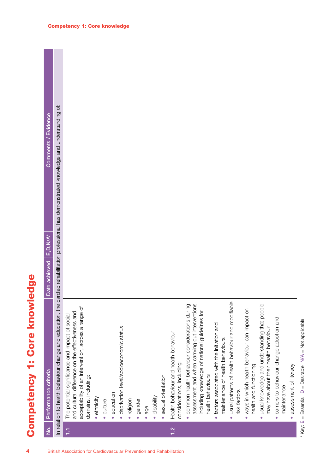| $\overline{P}$ | Performance criteria                                                                                                                                                              | Date achieved | $E, D, N/A^*$ | Comments / Evidence |
|----------------|-----------------------------------------------------------------------------------------------------------------------------------------------------------------------------------|---------------|---------------|---------------------|
|                | In relation to health behaviour change and education, the cardiac rehabilitation professional has demonstrated knowledge and understanding of:                                    |               |               |                     |
|                | acceptability of an intervention, across a range of<br>and cultural difference on the effectiveness and<br>The potential significance and impact of social<br>domains, including: |               |               |                     |
|                | · ethnicity                                                                                                                                                                       |               |               |                     |
|                | · culture                                                                                                                                                                         |               |               |                     |
|                | · education                                                                                                                                                                       |               |               |                     |
|                | · deprivation level/socioeconomic status                                                                                                                                          |               |               |                     |
|                | · religion                                                                                                                                                                        |               |               |                     |
|                | · gender                                                                                                                                                                          |               |               |                     |
|                | $e$ age                                                                                                                                                                           |               |               |                     |
|                | · disability                                                                                                                                                                      |               |               |                     |
|                | sexual orientation                                                                                                                                                                |               |               |                     |
|                | Health behaviour and health behaviour<br>considerations, including:                                                                                                               |               |               |                     |
|                | assessment and when carrying out interventions,<br>· common health behaviour considerations during                                                                                |               |               |                     |
|                | including knowledge of national guidelines for<br>health behaviours                                                                                                               |               |               |                     |
|                | · factors associated with the initiation and<br>maintenance of health behaviours                                                                                                  |               |               |                     |
|                | · usual patterns of health behaviour and modifiable<br>risk factors                                                                                                               |               |               |                     |
|                | · ways in which health behaviour can impact on<br>health and functioning                                                                                                          |               |               |                     |
|                | · usual knowledge and understanding that people<br>may have about their health behaviour                                                                                          |               |               |                     |
|                | · barriers to behaviour change adoption and                                                                                                                                       |               |               |                     |
|                | maintenance                                                                                                                                                                       |               |               |                     |
|                | assessment of literacy                                                                                                                                                            |               |               |                     |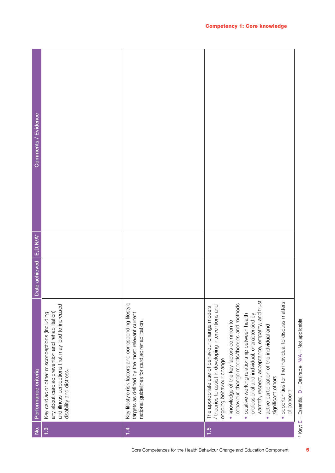| Comments / Evidence  |                                                                                                                                                                                      |                                                                                                                                                              |                                                                                                                                                                                                                                                                                                                                                                                                                                                                                                                                                     |
|----------------------|--------------------------------------------------------------------------------------------------------------------------------------------------------------------------------------|--------------------------------------------------------------------------------------------------------------------------------------------------------------|-----------------------------------------------------------------------------------------------------------------------------------------------------------------------------------------------------------------------------------------------------------------------------------------------------------------------------------------------------------------------------------------------------------------------------------------------------------------------------------------------------------------------------------------------------|
| $E, D, N/A^*$        |                                                                                                                                                                                      |                                                                                                                                                              |                                                                                                                                                                                                                                                                                                                                                                                                                                                                                                                                                     |
| Date achieved        |                                                                                                                                                                                      |                                                                                                                                                              |                                                                                                                                                                                                                                                                                                                                                                                                                                                                                                                                                     |
| Performance criteria | and illness perceptions that may lead to increased<br>any about cardiac prevention and rehabilitation)<br>Key cardiac or other misconceptions (including<br>disability and distress. | Key lifestyle risk factors and corresponding lifestyle<br>targets as defined by the most relevant current<br>national guidelines for cardiac rehabilitation. | warmth, respect, acceptance, empathy, and trust<br>opportunities for the individual to discuss matters<br>behaviour change models/theories and methods<br>theories to assist in developing interventions and<br>The appropriate use of behaviour change models<br>positive working relationship between health<br>professional and individual, characterised by<br>. knowledge of the key factors common to<br>active participation of the individual and<br>ongoing behaviour change<br>significant others<br>of concern<br>$\bullet$<br>$\bullet$ |
| $\frac{1}{2}$        | 1.3                                                                                                                                                                                  | 1.4                                                                                                                                                          | 1.5                                                                                                                                                                                                                                                                                                                                                                                                                                                                                                                                                 |

<sup>\*</sup> Key: E = Essential D = Desirable N/A = Not applicable  $D =$  Desirable  $N/A =$  Not applicable \* Key: E = Essential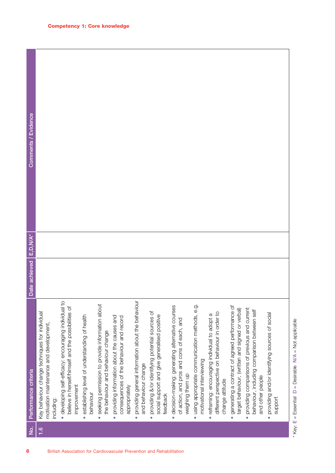| Comments / Evidence      |                                                                                                         |                                                                                                                                            |                                                                         |                                                                                                    |                                                                                                                      |                                                                                        |                                                                                                                          |                                                                                                                    |                                                                                        |                                                                                                                                |                                                                                                                 |                                                                                                                                |                                                                        |  |
|--------------------------|---------------------------------------------------------------------------------------------------------|--------------------------------------------------------------------------------------------------------------------------------------------|-------------------------------------------------------------------------|----------------------------------------------------------------------------------------------------|----------------------------------------------------------------------------------------------------------------------|----------------------------------------------------------------------------------------|--------------------------------------------------------------------------------------------------------------------------|--------------------------------------------------------------------------------------------------------------------|----------------------------------------------------------------------------------------|--------------------------------------------------------------------------------------------------------------------------------|-----------------------------------------------------------------------------------------------------------------|--------------------------------------------------------------------------------------------------------------------------------|------------------------------------------------------------------------|--|
|                          |                                                                                                         |                                                                                                                                            |                                                                         |                                                                                                    |                                                                                                                      |                                                                                        |                                                                                                                          |                                                                                                                    |                                                                                        |                                                                                                                                |                                                                                                                 |                                                                                                                                |                                                                        |  |
| Date achieved E, D, N/A* |                                                                                                         |                                                                                                                                            |                                                                         |                                                                                                    |                                                                                                                      |                                                                                        |                                                                                                                          |                                                                                                                    |                                                                                        |                                                                                                                                |                                                                                                                 |                                                                                                                                |                                                                        |  |
| Performance criteria     | Key behaviour change techniques for individual<br>motivation maintenance and development,<br>including: | $\overline{c}$<br>believe in herself/himself and the possibilities of<br>· developing self-efficacy: encouraging individual<br>improvement | establishing level of understanding of health<br>behaviour<br>$\bullet$ | seeking permission to provide information about<br>the behaviour and behaviour change<br>$\bullet$ | providing information about the causes and<br>consequences of the behaviour and record<br>appropriately<br>$\bullet$ | providing general information about the behaviour<br>and behaviour change<br>$\bullet$ | providing &/or identifying potential sources of<br>social support and give generalised positive<br>feedback<br>$\bullet$ | · decision-making: generating alternative courses<br>of action, and pros and cons of each, and<br>weighing them up | using appropriate communication methods, e.g<br>motivational interviewing<br>$\bullet$ | different perspective on behaviour in order to<br>reframing: encouraging individual to adopt a<br>change attitude<br>$\bullet$ | generating a contract of agreed performance of<br>target behaviour, (written and signed or verbal)<br>$\bullet$ | providing comparisons of previous and current<br>behaviour, including comparison between self<br>and other people<br>$\bullet$ | providing and/or identifying sources of social<br>support<br>$\bullet$ |  |
| <u>ò</u>                 | $\frac{6}{1}$                                                                                           |                                                                                                                                            |                                                                         |                                                                                                    |                                                                                                                      |                                                                                        |                                                                                                                          |                                                                                                                    |                                                                                        |                                                                                                                                |                                                                                                                 |                                                                                                                                |                                                                        |  |
| 6                        |                                                                                                         |                                                                                                                                            |                                                                         |                                                                                                    | British Association for Cardiovascular Prevention and Rehabilitation                                                 |                                                                                        |                                                                                                                          |                                                                                                                    |                                                                                        |                                                                                                                                |                                                                                                                 |                                                                                                                                |                                                                        |  |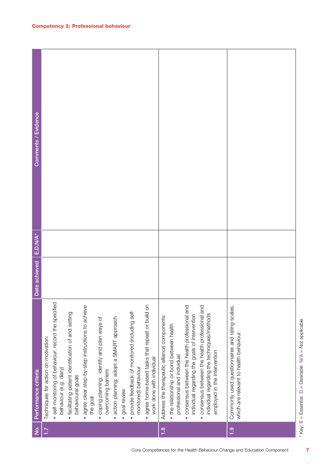| Comments / Evidence  |                                                                                                                                                                                                                                                                                                                                                                                                                                                                                                                                                                                                               |                                                                                                                                                                                                                                                                                                                                                                                       |                                                                                            |
|----------------------|---------------------------------------------------------------------------------------------------------------------------------------------------------------------------------------------------------------------------------------------------------------------------------------------------------------------------------------------------------------------------------------------------------------------------------------------------------------------------------------------------------------------------------------------------------------------------------------------------------------|---------------------------------------------------------------------------------------------------------------------------------------------------------------------------------------------------------------------------------------------------------------------------------------------------------------------------------------------------------------------------------------|--------------------------------------------------------------------------------------------|
| $E, D, N/A^*$        |                                                                                                                                                                                                                                                                                                                                                                                                                                                                                                                                                                                                               |                                                                                                                                                                                                                                                                                                                                                                                       |                                                                                            |
| Date achieved        |                                                                                                                                                                                                                                                                                                                                                                                                                                                                                                                                                                                                               |                                                                                                                                                                                                                                                                                                                                                                                       |                                                                                            |
| Performance criteria | self-monitoring of behaviour: record the specified<br>agree home-based tasks that repeat or build on<br>agree clear step-by-step instructions to achieve<br>provide feedback of monitored (including self-<br>· facilitating patient identification of and setting<br>action planning: adopt a SMART approach<br>coping planning: identify and plan ways of<br>Techniques for action on motivation:<br>work done with individual<br>behaviour (e.g. diary)<br>monitored) behaviour<br>overcoming barriers<br>behavioural goals<br>goal review<br>the goal<br>$\bullet$<br>$\bullet$<br>$\bullet$<br>$\bullet$ | consensus between the health professional and<br>consensus between the health professional and<br>individual regarding the techniques/methods<br>individual regarding the goals of intervention<br>Address the therapeutic alliance components:<br>• the relationship or bond between health<br>employed in the intervention<br>professional and individual<br>$\bullet$<br>$\bullet$ | Commonly used questionnaires and rating scales,<br>which are relevant to health behaviour. |
| $\frac{1}{2}$        | $\ddot{ }$ .                                                                                                                                                                                                                                                                                                                                                                                                                                                                                                                                                                                                  | 1.8                                                                                                                                                                                                                                                                                                                                                                                   | $\frac{0}{1}$                                                                              |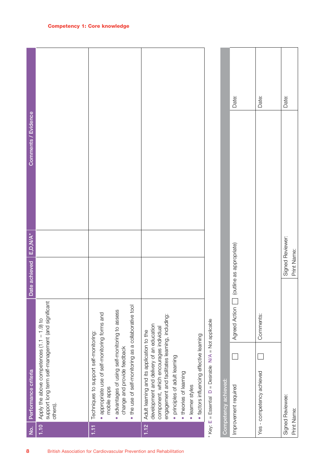| 8                                                                    | $\dot{z}$ | Performance criteria                                                                                                                                                                                                                                                                                           | Date achieved            | E,D,N/A*         | Comments / Evidence |       |
|----------------------------------------------------------------------|-----------|----------------------------------------------------------------------------------------------------------------------------------------------------------------------------------------------------------------------------------------------------------------------------------------------------------------|--------------------------|------------------|---------------------|-------|
|                                                                      | 1.10      | support long term self-management (and significant<br>Apply the above competences (1.1 - 1.9) to<br>others).                                                                                                                                                                                                   |                          |                  |                     |       |
| British Association for Cardiovascular Prevention and Rehabilitation | E         | the use of self-monitoring as a collaborative tool<br>advantages of using self-monitoring to assess<br>appropriate use of self-monitoring forms and<br>Techniques to support self-monitoring:<br>change and provide feedback<br>mobile apps<br>$\bullet$<br>$\bullet$<br>$\bullet$                             |                          |                  |                     |       |
|                                                                      | 1.12      | engagement and facilitates learning, including:<br>development and delivery of an education<br>component, which encourages individual<br>Adult learning and its application to the<br>· factors influencing effective learning<br>· principles of adult learning<br>. theories of learning<br>· learner styles |                          |                  |                     |       |
|                                                                      |           | $D =$ Desirable $N/A =$ Not applicable<br>$*$ Key: $E = E$ ssential                                                                                                                                                                                                                                            |                          |                  |                     |       |
|                                                                      |           | Agreed Action<br>Competency achieved:<br>Improvement required                                                                                                                                                                                                                                                  | (outline as appropriate) |                  |                     | Date: |
|                                                                      |           | Comments:<br>Yes - competency achieved                                                                                                                                                                                                                                                                         |                          |                  |                     | Date: |
|                                                                      |           | Signed Reviewee:<br>Print Name:                                                                                                                                                                                                                                                                                | Print Name:              | Signed Reviewer: |                     | Date: |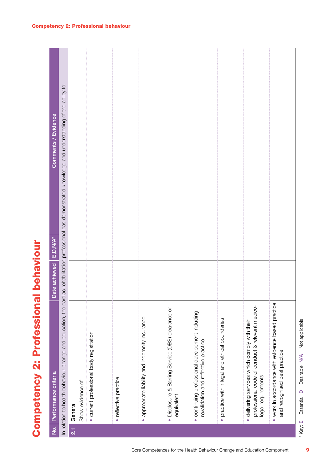| $\overline{e}$   | Performance criteria                                                                                                   | Date achieved   E,D,N/A* | Comments / Evidence                                                                                                                                           |
|------------------|------------------------------------------------------------------------------------------------------------------------|--------------------------|---------------------------------------------------------------------------------------------------------------------------------------------------------------|
|                  |                                                                                                                        |                          | In relation to health behaviour change and education, the cardiac rehabilitation professional has demonstrated knowledge and understanding of the ability to: |
| $\overline{2.1}$ | Show evidence of:<br>General                                                                                           |                          |                                                                                                                                                               |
|                  | · current professional body registration                                                                               |                          |                                                                                                                                                               |
|                  | · reflective practice                                                                                                  |                          |                                                                                                                                                               |
|                  | appropriate liability and indemnity insurance<br>$\bullet$                                                             |                          |                                                                                                                                                               |
|                  | • Disclosure & Barring Service (DBS) clearance or<br>equivalent                                                        |                          |                                                                                                                                                               |
|                  | · continuing professional development including<br>revalidation and reflective practice                                |                          |                                                                                                                                                               |
|                  | practice within legal and ethical boundaries<br>$\bullet$                                                              |                          |                                                                                                                                                               |
|                  | professional code of conduct & relevant medico-<br>· delivering services which comply with their<br>legal requirements |                          |                                                                                                                                                               |
|                  | . work in accordance with evidence based practice<br>and recognised best practice                                      |                          |                                                                                                                                                               |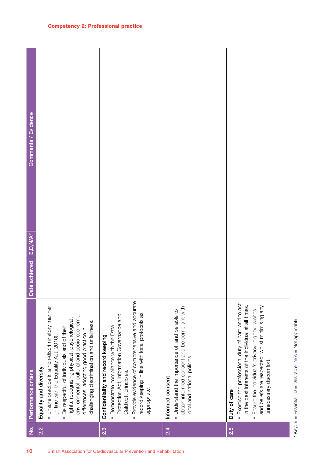| 10                                                                   | $\frac{1}{2}$ | Performance criteria                                                                                                                                                                                                                                                                                                                                                 | Date achieved | $E, D, N/A^*$ | Comments / Evidence |
|----------------------------------------------------------------------|---------------|----------------------------------------------------------------------------------------------------------------------------------------------------------------------------------------------------------------------------------------------------------------------------------------------------------------------------------------------------------------------|---------------|---------------|---------------------|
|                                                                      | 2.2           | · Ensure practice in a non-discriminatory manner<br>environmental, cultural and socio-economic<br>rights, recognising physical, psychological,<br>challenging discrimination and unfairness.<br>Be respectful of individuals and of their<br>differences, adopting good practice in<br>(in line with the Equality Act, 2010).<br>Equality and diversity<br>$\bullet$ |               |               |                     |
| British Association for Cardiovascular Prevention and Rehabilitation | 2.3           | Provide evidence of comprehensive and accurate<br>record keeping in line with local protocols as<br>Protection Act, Information Governance and<br>• Demonstrate compliance with the Data<br>Confidentiality and record keeping<br>Caldicott principles.<br>appropriate.<br>$\bullet$                                                                                 |               |               |                     |
|                                                                      | 2.4           | obtain informed consent and be compliant with<br>• Understand the importance of, and be able to<br>local and national policies.<br>Informed consent                                                                                                                                                                                                                  |               |               |                     |
|                                                                      | 2.5           | • Exercise the professional duty of care and to act<br>in the best interests of the individual at all times.<br>and beliefs are respected, whilst minimising any<br>Ensure the individual's privacy, dignity, wishes<br>unnecessary discomfort.<br>Duty of care<br>$\bullet$                                                                                         |               |               |                     |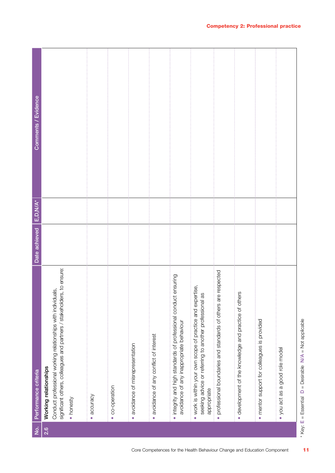| ġ   | Performance criteria                                                                                                                                                         | Date achieved | $E, D, N/A^*$ | Comments / Evidence |
|-----|------------------------------------------------------------------------------------------------------------------------------------------------------------------------------|---------------|---------------|---------------------|
| 2.6 | significant others, colleagues and partners / stakeholders, to ensure:<br>Conduct professional working relationships with individuals,<br>Working relationships<br>• honesty |               |               |                     |
|     | · accuracy                                                                                                                                                                   |               |               |                     |
|     | · co-operation                                                                                                                                                               |               |               |                     |
|     | · avoidance of misrepresentation                                                                                                                                             |               |               |                     |
|     | · avoidance of any conflict of interest                                                                                                                                      |               |               |                     |
|     | · integrity and high standards of professional conduct ensuring<br>avoidance of any inappropriate behaviour                                                                  |               |               |                     |
|     | . work is within your own scope of practice and expertise,<br>as<br>seeking advice or referring to another professional<br>appropriate                                       |               |               |                     |
|     | e respected<br>professional boundaries and standards of others are<br>$\bullet$                                                                                              |               |               |                     |
|     | · development of the knowledge and practice of others                                                                                                                        |               |               |                     |
|     | • mentor support for colleagues is provided                                                                                                                                  |               |               |                     |
|     | • you act as a good role model                                                                                                                                               |               |               |                     |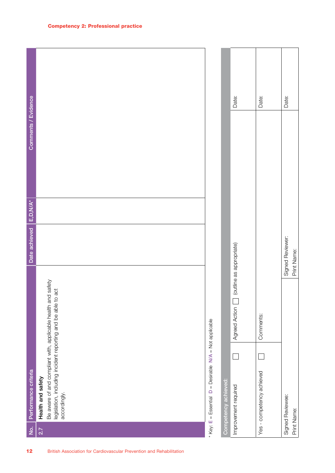No. Reformance orbeits<br>2.21 Health and statedy<br>2.31 Health and statedy military with applicable holds adde to act<br>8.98/88/800 provident experiment applicable adde to act<br>8.99/8000/109/s<br>8.99/900109/s<br>12.<br>12. Mittelly Assoc Improvement required Agreed Action (outline as appropriate) Date: Yes - competency achieved Comments: Date: \* Key:  $E = E$ ssential  $D =$  Desirable N/A = Not applicable \* Key:  $E = E$ ssential  $D =$  Desirable  $N/A = Not$  applicable Competency achieved:

|                      | Date:                                     | Date:                     | Date:                           |
|----------------------|-------------------------------------------|---------------------------|---------------------------------|
|                      | [outline as appropriate)<br>Agreed Action | Comments:                 | Signed Reviewer:<br>Print Name: |
|                      | Ξ                                         |                           |                                 |
| Competency achieved: | Improvement required                      | Yes - competency achieved | Signed Reviewee:<br>Print Name: |

**Contract** 

Т

┱

٦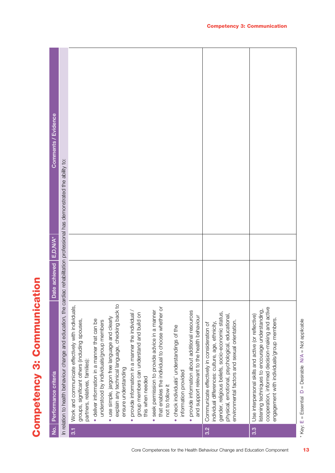| l<br>I           |
|------------------|
| <br> <br> <br>ſ. |
| l<br>a           |
| ľ                |
| ı                |

| $\overline{5}$ | Performance criteria                                                                                                                                                                                                                                      | Date achieved E,D,N/A* | Comments / Evidence |
|----------------|-----------------------------------------------------------------------------------------------------------------------------------------------------------------------------------------------------------------------------------------------------------|------------------------|---------------------|
|                | In relation to health behaviour change and education, the cardiac rehabilitation professional has demonstrated the ability to:                                                                                                                            |                        |                     |
| $\overline{3}$ | Work and communicate effectively with individuals,<br>groups, significant others (including spouses,<br>partners, relatives, families):                                                                                                                   |                        |                     |
|                | deliver information in a manner that can be<br>understood by individuals/group members                                                                                                                                                                    |                        |                     |
|                | explain any technical language, checking back to<br>use simple, jargon free language and clearly<br>ensure understanding                                                                                                                                  |                        |                     |
|                | provide information in a manner the individual /<br>group members can understand and build on<br>this when needed<br>$\bullet$                                                                                                                            |                        |                     |
|                | that enables the individual to choose whether or<br>seek permission to provide advice in a manner<br>not to follow it<br>$\bullet$                                                                                                                        |                        |                     |
|                | check individuals' understandings of the<br>information provided                                                                                                                                                                                          |                        |                     |
|                | provide information about additional resources<br>and support relevant to the health behaviour<br>$\bullet$                                                                                                                                               |                        |                     |
| 3.2            | gender, religious beliefs, socio-economic status,<br>physical, emotional, psychological, educational,<br>environmental factors and sexual orientation.<br>individual differences: culture, age, ethnicity,<br>Communicate effectively in consideration of |                        |                     |
| 3.3            | cooperation, informed decision-making and active<br>listening techniques to encourage understanding,<br>Use interpersonal skills and active (or reflective)<br>engagement with individuals/group members.                                                 |                        |                     |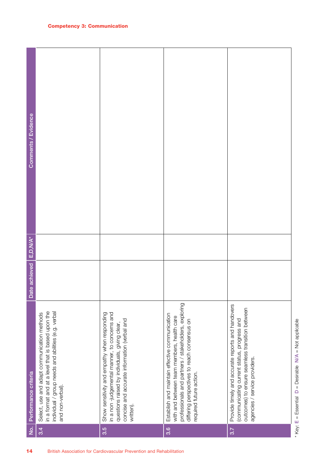| Comments / Evidence     |                                                                                                                                                                             |                                                                                                                                                                                                             |                                                                                                                                                                                                                                 |                                                                                                                                                                                      |
|-------------------------|-----------------------------------------------------------------------------------------------------------------------------------------------------------------------------|-------------------------------------------------------------------------------------------------------------------------------------------------------------------------------------------------------------|---------------------------------------------------------------------------------------------------------------------------------------------------------------------------------------------------------------------------------|--------------------------------------------------------------------------------------------------------------------------------------------------------------------------------------|
|                         |                                                                                                                                                                             |                                                                                                                                                                                                             |                                                                                                                                                                                                                                 |                                                                                                                                                                                      |
| Date achieved E,D, N/A* |                                                                                                                                                                             |                                                                                                                                                                                                             |                                                                                                                                                                                                                                 |                                                                                                                                                                                      |
| Performance criteria    | in a format and at a level that is based upon the<br>individual / group needs and abilities (e.g. verbal<br>Select, use and adapt communication methods<br>and non-verbal). | in a non-judgemental manner, to concerns and<br>Show sensitivity and empathy when responding<br>concise and accurate information (verbal and<br>questions raised by individuals, giving clear,<br>written). | professionals and partners / stakeholders, exploring<br>Establish and maintain effective communication<br>with and between team members, health care<br>differing perspectives to reach consensus on<br>required future action. | Provide timely and accurate reports and handovers<br>outcomes) to ensure seamless transition between<br>(communicating current status, progress and<br>agencies / service providers. |
| <u>ģ</u>                | 3.4                                                                                                                                                                         | 3.5                                                                                                                                                                                                         | $\overline{3.6}$                                                                                                                                                                                                                | 3.7                                                                                                                                                                                  |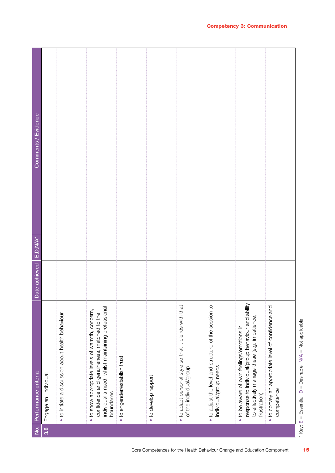| $\dot{q}$        | Performance criteria                                                                                                                                               | Date achieved | $E, D, N/A^*$ | Comments / Evidence |
|------------------|--------------------------------------------------------------------------------------------------------------------------------------------------------------------|---------------|---------------|---------------------|
| $3.\overline{8}$ | Engage an individual:                                                                                                                                              |               |               |                     |
|                  | · to initiate a discussion about health behaviour                                                                                                                  |               |               |                     |
|                  | individual's need, whilst maintaining professional<br>. to show appropriate levels of warmth, concern,<br>confidence and genuineness, matched to the<br>boundaries |               |               |                     |
|                  | · to engender/establish trust                                                                                                                                      |               |               |                     |
|                  | · to develop rapport                                                                                                                                               |               |               |                     |
|                  | . to adapt personal style so that it blends with that<br>of the individual/group                                                                                   |               |               |                     |
|                  | . to adjust the level and structure of the session to<br>individual/group needs                                                                                    |               |               |                     |
|                  | response to individual/group behaviour and ability<br>to effectively manage these (e.g. impatience,<br>• to be aware of own feelings/emotions in<br>frustration)   |               |               |                     |
|                  | . to convey an appropriate level of confidence and<br>competence                                                                                                   |               |               |                     |

\* Key: E = Essential

 $D =$  Desirable  $N/A =$  Not applicable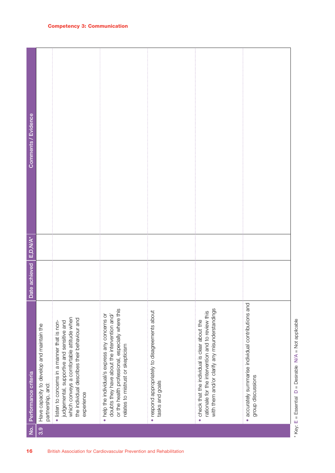| Comments / Evidence  |                                                                |                                                                                                                                                                                                       |                                                                                                                                                                                           |                                                                   |                                                                                                                                                                  |                                                                                     |
|----------------------|----------------------------------------------------------------|-------------------------------------------------------------------------------------------------------------------------------------------------------------------------------------------------------|-------------------------------------------------------------------------------------------------------------------------------------------------------------------------------------------|-------------------------------------------------------------------|------------------------------------------------------------------------------------------------------------------------------------------------------------------|-------------------------------------------------------------------------------------|
| $E, D, N/A^*$        |                                                                |                                                                                                                                                                                                       |                                                                                                                                                                                           |                                                                   |                                                                                                                                                                  |                                                                                     |
| Date achieved        |                                                                |                                                                                                                                                                                                       |                                                                                                                                                                                           |                                                                   |                                                                                                                                                                  |                                                                                     |
| Performance criteria | Have capacity to develop and maintain the<br>partnership, and: | which conveys a comfortable attitude when<br>the individual describes their behaviour and<br>· listen to concerns in a manner that is non-<br>judgemental, supportive and sensitive and<br>experience | or the health professional, especially where this<br>• help the individual/s express any concerns or<br>doubts they have about the intervention and/<br>relates to mistrust or skepticism | · respond appropriately to disagreements about<br>tasks and goals | with them and/or clarify any misunderstandings<br>rationale for the intervention and to review this<br>check that the individual is clear about the<br>$\bullet$ | accurately summarise individual contributions and<br>group discussions<br>$\bullet$ |
| $\dot{z}$            | 3.9                                                            |                                                                                                                                                                                                       |                                                                                                                                                                                           |                                                                   |                                                                                                                                                                  |                                                                                     |
| 16                   |                                                                |                                                                                                                                                                                                       | British Association for Cardiovascular Prevention and Rehabilitation                                                                                                                      |                                                                   |                                                                                                                                                                  |                                                                                     |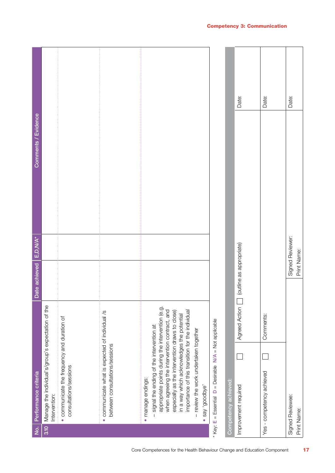| $\dot{q}$ | Performance criteria                                                                                                                                                                                                                                                                                                                                                          |               | Date achieved   E, D, N/A* |                  | Comments / Evidence |       |
|-----------|-------------------------------------------------------------------------------------------------------------------------------------------------------------------------------------------------------------------------------------------------------------------------------------------------------------------------------------------------------------------------------|---------------|----------------------------|------------------|---------------------|-------|
| 3.10      | Manage the individual's/group's expectation of the<br>Intervention:                                                                                                                                                                                                                                                                                                           |               |                            |                  |                     |       |
|           | • communicate the frequency and duration of<br>consultations/sessions                                                                                                                                                                                                                                                                                                         |               |                            |                  |                     |       |
|           | communicate what is expected of individual /s<br>between consultations/sessions<br>$\bullet$                                                                                                                                                                                                                                                                                  |               |                            |                  |                     |       |
|           | appropriate points during the intervention (e.g.<br>when agreeing the intervention contract, and<br>importance of this transition for the individual<br>especially as the intervention draws to close)<br>in a way which acknowledges the potential<br>signal the ending of the intervention at<br>- review the work undertaken together<br>· manage endings:<br>$\mathbf{I}$ |               |                            |                  |                     |       |
|           | 'exapoop' yes<br>$\bullet$                                                                                                                                                                                                                                                                                                                                                    |               |                            |                  |                     |       |
|           | * Key: E = Essential D = Desirable N/A = Not applicable                                                                                                                                                                                                                                                                                                                       |               |                            |                  |                     |       |
|           | Competency achieved:                                                                                                                                                                                                                                                                                                                                                          |               |                            |                  |                     |       |
|           | Improvement required                                                                                                                                                                                                                                                                                                                                                          | Agreed Action | (outline as appropriate)   |                  |                     | Date: |
|           | Yes - competency achieved                                                                                                                                                                                                                                                                                                                                                     | Comments:     |                            |                  |                     | Date: |
|           | Signed Reviewee:<br>Print Name:                                                                                                                                                                                                                                                                                                                                               |               | Print Name:                | Signed Reviewer: |                     | Date: |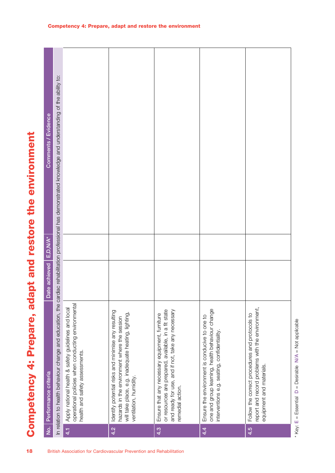| In relation to health behaviour change and education, the cardiac rehabilitation professional has demonstrated knowledge and understanding of the ability to:<br><b>Comments / Evidence</b><br>apt and restore the environment<br>Date achieved   E,D,N/A*<br><b>PB</b><br>operational policies when conducting environmental<br>Apply national health & safety guidelines and local<br>report and record problems with the environment,<br>one and group learning, health behaviour change<br>or resources are prepared, available, in a fit state<br>and ready for use, and if not, take any necessary<br>Identify potential risks and minimise any resulting<br>will take place, e.g. inadequate heating, lighting,<br>Follow the correct procedures and protocols to<br>Competency 4: Prepare,<br>Ensure that any necessary equipment, furniture<br>Ensure the environment is conducive to one to<br>hazards in the environment where the session<br>interventions e.g. seating, confidentiality.<br>health and safety assessments.<br>equipment and materials.<br>No. Performance criteria<br>ventilation, humidity |  | $\overline{4.2}$ | remedial action.<br>4.3 | 4.4 | 4.5 |
|--------------------------------------------------------------------------------------------------------------------------------------------------------------------------------------------------------------------------------------------------------------------------------------------------------------------------------------------------------------------------------------------------------------------------------------------------------------------------------------------------------------------------------------------------------------------------------------------------------------------------------------------------------------------------------------------------------------------------------------------------------------------------------------------------------------------------------------------------------------------------------------------------------------------------------------------------------------------------------------------------------------------------------------------------------------------------------------------------------------------------|--|------------------|-------------------------|-----|-----|
|                                                                                                                                                                                                                                                                                                                                                                                                                                                                                                                                                                                                                                                                                                                                                                                                                                                                                                                                                                                                                                                                                                                          |  |                  |                         |     |     |
|                                                                                                                                                                                                                                                                                                                                                                                                                                                                                                                                                                                                                                                                                                                                                                                                                                                                                                                                                                                                                                                                                                                          |  |                  |                         |     |     |
|                                                                                                                                                                                                                                                                                                                                                                                                                                                                                                                                                                                                                                                                                                                                                                                                                                                                                                                                                                                                                                                                                                                          |  |                  |                         |     |     |
|                                                                                                                                                                                                                                                                                                                                                                                                                                                                                                                                                                                                                                                                                                                                                                                                                                                                                                                                                                                                                                                                                                                          |  |                  |                         |     |     |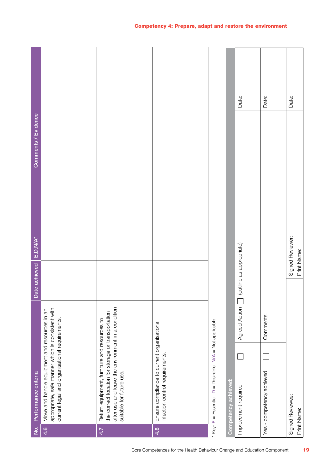| $\dot{z}$ | Performance criteria                                                                                                                                                                 | Date achieved            | E,D,N/A*         | Comments / Evidence |       |
|-----------|--------------------------------------------------------------------------------------------------------------------------------------------------------------------------------------|--------------------------|------------------|---------------------|-------|
| 4.6       | appropriate, safe manner which is consistent with<br>Move and handle equipment and resources in an<br>current legal and organisational requirements.                                 |                          |                  |                     |       |
| 4.7       | after use and leave the environment in a condition<br>the correct location for storage or transportation<br>Return equipment, furniture and resources to<br>suitable for future use. |                          |                  |                     |       |
| 4.8       | Ensure compliance to current organisational<br>infection control requirements.                                                                                                       |                          |                  |                     |       |
|           | * Key: E = Essential D = Desirable N/A = Not applicable                                                                                                                              |                          |                  |                     |       |
|           | Competency achieved:                                                                                                                                                                 |                          |                  |                     |       |
|           | Agreed Action [<br>Improvement required                                                                                                                                              | [outline as appropriate] |                  |                     | Date: |
|           | Comments:<br>Yes - competency achieved                                                                                                                                               |                          |                  |                     | Date: |
|           | Signed Reviewee:<br>Print Name:                                                                                                                                                      | Print Name:              | Signed Reviewer: |                     | Date: |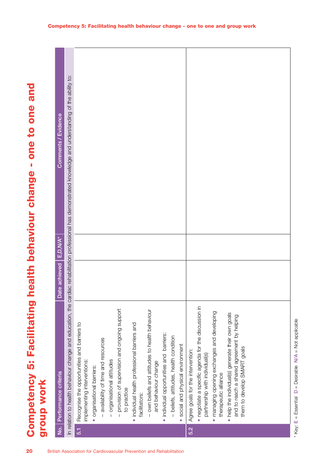| In relation to health behaviour change and education, the cardiac rehabilitation professional has demonstrated knowledge and understanding of the ability to:<br>$E, D, N/A^*$<br>Date achieved<br>- provision of supervision and ongoing support<br>- own beliefs and attitudes to health behaviour<br>help the individual(s) generate their own goals<br>and to reach a shared agreement by helping<br>- beliefs, attitudes, health condition<br>availability of time and resources<br>social and physical environment<br>them to develop SMART goals<br>partnership with individual(s)<br>organisational attitudes<br>and behaviour change<br>No. Performance criteria<br>therapeutic alliance<br>to practice<br>facilitators: |            | Comments / Evidence |                                                                            |                            |  |                                               |                                          |  |                                   |                                                     |                                             |           |  |  |
|-----------------------------------------------------------------------------------------------------------------------------------------------------------------------------------------------------------------------------------------------------------------------------------------------------------------------------------------------------------------------------------------------------------------------------------------------------------------------------------------------------------------------------------------------------------------------------------------------------------------------------------------------------------------------------------------------------------------------------------|------------|---------------------|----------------------------------------------------------------------------|----------------------------|--|-----------------------------------------------|------------------------------------------|--|-----------------------------------|-----------------------------------------------------|---------------------------------------------|-----------|--|--|
|                                                                                                                                                                                                                                                                                                                                                                                                                                                                                                                                                                                                                                                                                                                                   |            |                     |                                                                            |                            |  |                                               |                                          |  |                                   |                                                     |                                             |           |  |  |
|                                                                                                                                                                                                                                                                                                                                                                                                                                                                                                                                                                                                                                                                                                                                   | group work |                     | Recognise the opportunities and barriers to<br>implementing interventions: | · organisational barriers: |  | · individual health professional barriers and | · individual opportunities and barriers: |  | Agree goals for the intervention: | · negotiate a specific agenda for the discussion in | · managing opening exchanges and developing | $\bullet$ |  |  |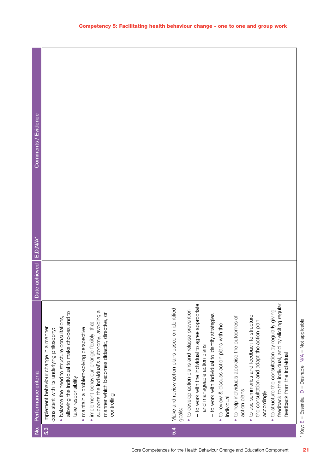| $\dot{\mathsf{z}}$ | Performance criteria                                                                                                                                                                                                                                                                                                                                                                                                        | Date achieved | $E$ , D, N/A $^*$ | Comments / Evidence |
|--------------------|-----------------------------------------------------------------------------------------------------------------------------------------------------------------------------------------------------------------------------------------------------------------------------------------------------------------------------------------------------------------------------------------------------------------------------|---------------|-------------------|---------------------|
| 5.3                | supports the individual's autonomy, avoiding a<br>allowing the individual to make choices and to<br>manner which becomes didactic, directive, or<br>• balance the need to structure consultations,<br>· implement behaviour change flexibly, that<br>Implement behaviour change in a manner<br>· maintain a problem-solving perspective<br>consistent with its underlying philosophy:<br>take responsibility<br>controlling |               |                   |                     |
| 5.4                | Make and review action plans based on identified<br>goals:                                                                                                                                                                                                                                                                                                                                                                  |               |                   |                     |
|                    | • to develop action plans and relapse prevention                                                                                                                                                                                                                                                                                                                                                                            |               |                   |                     |
|                    | - to work with the individual to agree appropriate<br>and manageable action plans                                                                                                                                                                                                                                                                                                                                           |               |                   |                     |
|                    | - to work with individual to identify strategies                                                                                                                                                                                                                                                                                                                                                                            |               |                   |                     |
|                    | • to review & discuss action plans with the<br>individual                                                                                                                                                                                                                                                                                                                                                                   |               |                   |                     |
|                    | . to help individuals appraise the outcomes of<br>action plans                                                                                                                                                                                                                                                                                                                                                              |               |                   |                     |
|                    | . to use summaries and feedback to structure<br>the consultation and adapt the action plan<br>accordingly                                                                                                                                                                                                                                                                                                                   |               |                   |                     |
|                    | feedback to the individual, and by eliciting regular<br>• to structure the consultation by regularly giving<br>feedback from the individual                                                                                                                                                                                                                                                                                 |               |                   |                     |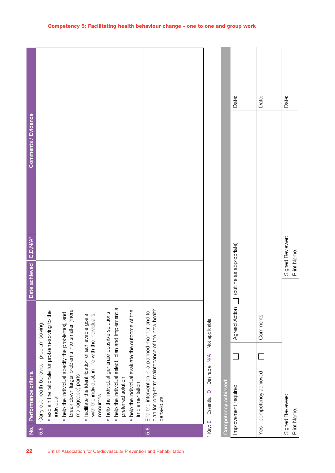| 22                                                                   | $\dot{z}$ | Performance criteria                                                                                                                                                                                                                                                                                                                                                                                                      | Date achieved            | E, D, N/A*       | Comments / Evidence |       |
|----------------------------------------------------------------------|-----------|---------------------------------------------------------------------------------------------------------------------------------------------------------------------------------------------------------------------------------------------------------------------------------------------------------------------------------------------------------------------------------------------------------------------------|--------------------------|------------------|---------------------|-------|
| British Association for Cardiovascular Prevention and Rehabilitation | 5.5       | break down larger problems into smaller (more<br>· explain the rationale for problem-solving to the<br>. help the individual generate possible solutions<br>• help the individual specify the problem(s), and<br>with the individual, in line with the individual's<br>· facilitate the identification of achievable goals<br>Carry out health behaviour problem solving:<br>manageable) parts<br>resources<br>individual |                          |                  |                     |       |
|                                                                      |           | . help the individual select, plan and implement a<br>. help the individual evaluate the outcome of the<br>preferred solution<br>implementation                                                                                                                                                                                                                                                                           |                          |                  |                     |       |
|                                                                      | 5.6       | plan for long-term maintenance of the new health<br>End the intervention in a planned manner and to<br>behaviours.                                                                                                                                                                                                                                                                                                        |                          |                  |                     |       |
|                                                                      |           | * Key: $E = E$ ssential $D =$ Desirable N/A = Not applicable<br>Competency achieved:                                                                                                                                                                                                                                                                                                                                      |                          |                  |                     |       |
|                                                                      |           | Agreed Action<br>Improvement required                                                                                                                                                                                                                                                                                                                                                                                     | (outline as appropriate) |                  |                     | Date: |
|                                                                      |           | Comments:<br>Yes - competency achieved                                                                                                                                                                                                                                                                                                                                                                                    |                          |                  |                     | Date: |
|                                                                      |           | Signed Reviewee:<br>Print Name:                                                                                                                                                                                                                                                                                                                                                                                           | Print Name:              | Signed Reviewer: |                     | Date: |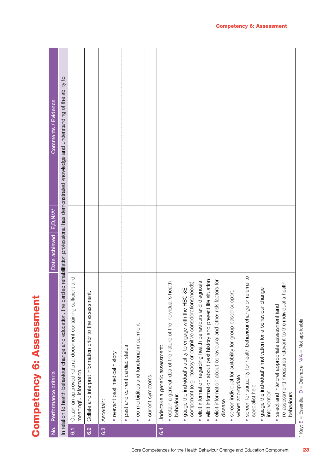Competency 6: Assessment **Competency 6: Assessment**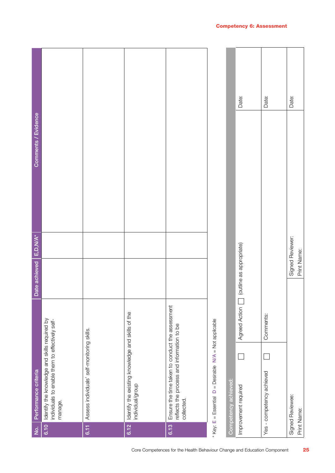| $\dot{q}$ | Performance criteria                                                                                        | Date achieved            | E,D,N/A*         | Comments / Evidence |       |
|-----------|-------------------------------------------------------------------------------------------------------------|--------------------------|------------------|---------------------|-------|
| 6.10      | Identify the knowledge and skills required by<br>individuals to enable them to effectively self-<br>manage. |                          |                  |                     |       |
| 6.11      | Assess individuals' self-monitoring skills.                                                                 |                          |                  |                     |       |
| 6.12      | Identify the existing knowledge and skills of the<br>individual/group                                       |                          |                  |                     |       |
| 6.13      | Ensure the time taken to conduct the assessment<br>reflects the process and information to be<br>collected. |                          |                  |                     |       |
|           | * Key: E = Essential D = Desirable N/A = Not applicable                                                     |                          |                  |                     |       |
|           | Competency achieved:                                                                                        |                          |                  |                     |       |
|           | Agreed Action<br>Improvement required                                                                       | (outline as appropriate) |                  |                     | Date: |
|           | Comments:<br>Yes - competency achieved                                                                      |                          |                  |                     | Date: |
|           | Signed Reviewee:<br>Print Name:                                                                             | Print Name:              | Signed Reviewer: |                     | Date: |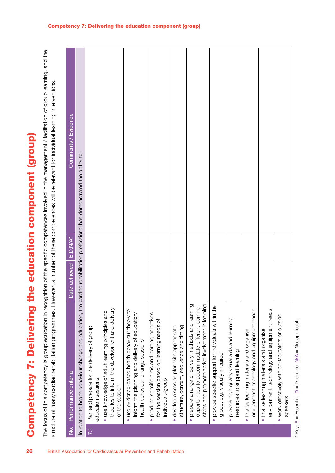|                                                                      | Competency 7: Delivering the education component (group)                                                                                                              |                          |                                                                                                                                                                                                                                                                |  |
|----------------------------------------------------------------------|-----------------------------------------------------------------------------------------------------------------------------------------------------------------------|--------------------------|----------------------------------------------------------------------------------------------------------------------------------------------------------------------------------------------------------------------------------------------------------------|--|
|                                                                      | structure of many cardiac rehabilitation programmes. How                                                                                                              |                          | The focus of this competency is group education in recognition of the specific competences involved in the management / facilitation of group learning, and the<br>ever, a number of these competences will be relevant for individual learning interventions. |  |
| $\overline{2}$                                                       | Performance criteria                                                                                                                                                  | Date achieved E, D, N/A* | Comments / Evidence                                                                                                                                                                                                                                            |  |
|                                                                      | In relation to health behaviour change and education, the car                                                                                                         |                          | rdiac rehabilitation professional has demonstrated the ability to:                                                                                                                                                                                             |  |
| 7.1                                                                  | Plan and prepare for the delivery of group<br>education sessions.                                                                                                     |                          |                                                                                                                                                                                                                                                                |  |
|                                                                      | theories to inform the development and delivery<br>· use knowledge of adult learning principles and<br>of the session                                                 |                          |                                                                                                                                                                                                                                                                |  |
| British Association for Cardiovascular Prevention and Rehabilitation | use evidence-based health behaviour theory to<br>inform the planning and delivery of education/<br>health behaviour change sessions<br>$\bullet$                      |                          |                                                                                                                                                                                                                                                                |  |
|                                                                      | produce specific aims and learning objectives<br>for the session based on learning needs of<br>individuals/group<br>$\bullet$                                         |                          |                                                                                                                                                                                                                                                                |  |
|                                                                      | structure, content, sequence and timing<br>develop a session plan with appropriate<br>$\bullet$                                                                       |                          |                                                                                                                                                                                                                                                                |  |
|                                                                      | prepare a range of delivery methods and learning<br>styles and promote active involvement in learning<br>opportunities to accommodate different learning<br>$\bullet$ |                          |                                                                                                                                                                                                                                                                |  |
|                                                                      | provide specific support for individuals within the<br>group, e.g. visually impaired<br>٠                                                                             |                          |                                                                                                                                                                                                                                                                |  |
|                                                                      | provide high quality visual aids and learning<br>resources to support learning                                                                                        |                          |                                                                                                                                                                                                                                                                |  |
|                                                                      | environment, technology and equipment needs<br>finalise learning materials and organise<br>$\bullet$                                                                  |                          |                                                                                                                                                                                                                                                                |  |
|                                                                      | environment, technology and equipment needs<br>finalise learning materials and organise<br>$\bullet$                                                                  |                          |                                                                                                                                                                                                                                                                |  |
|                                                                      | work effectively with co-facilitators or outside<br>speakers                                                                                                          |                          |                                                                                                                                                                                                                                                                |  |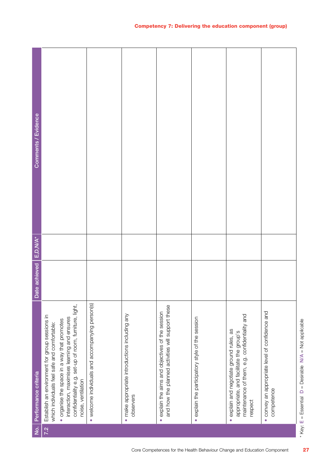| ģ   | Performance criteria                                                                                                                            | Date achieved | $E.D.N/A*$ | Comments / Evidence |
|-----|-------------------------------------------------------------------------------------------------------------------------------------------------|---------------|------------|---------------------|
| 7.2 | Establish an environment for group sessions in<br>· organise the space in a way that promotes<br>which individuals feel safe and comfortable:   |               |            |                     |
|     | confidentiality e.g. set-up of room, furniture, light,<br>interaction, maximises learning and ensures<br>noise, ventilation                     |               |            |                     |
|     | • welcome individuals and accompanying person(s)                                                                                                |               |            |                     |
|     | · make appropriate introductions including any<br>observers                                                                                     |               |            |                     |
|     | and how the planned activities will support these<br>· explain the aims and objectives of the session                                           |               |            |                     |
|     | · explain the participatory style of the session                                                                                                |               |            |                     |
|     | maintenance of them, e.g. confidentiality and<br>· explain and negotiate ground rules, as<br>appropriate, and facilitate the group's<br>respect |               |            |                     |
|     | · convey an appropriate level of confidence and<br>competence                                                                                   |               |            |                     |

\* Key: E = Essential

 $D =$  Desirable  $N/A =$  Not applicable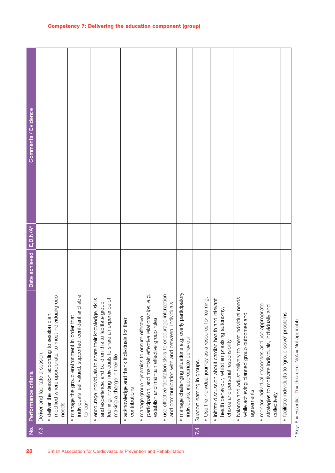| 28                                                                   | $\dot{2}$ | Performance criteria                                                                                                                                                                                                      | Date achieved | E, D, N/A* | Comments / Evidence |
|----------------------------------------------------------------------|-----------|---------------------------------------------------------------------------------------------------------------------------------------------------------------------------------------------------------------------------|---------------|------------|---------------------|
|                                                                      | 7.3       | Deliver and facilitate a session.                                                                                                                                                                                         |               |            |                     |
|                                                                      |           | modified where appropriate, to meet individual/group<br>deliver the session according to session plan,<br>needs<br>$\bullet$                                                                                              |               |            |                     |
|                                                                      |           | individuals feel valued, supported, confident and able<br>manage the group environment in order that<br>to learn<br>$\bullet$                                                                                             |               |            |                     |
| British Association for Cardiovascular Prevention and Rehabilitation |           | encourage individuals to share their knowledge, skills<br>learning, inviting individuals to share an experience of<br>and experience, and build on this to facilitate group<br>making a change in their life<br>$\bullet$ |               |            |                     |
|                                                                      |           | acknowledge and thank individuals for their<br>contributions<br>$\bullet$                                                                                                                                                 |               |            |                     |
|                                                                      |           | $\dot{\circ}$<br>participation, and maintain effective relationships, e.<br>manage group dynamics to ensure effective<br>establish and maintain effective group rules<br>$\bullet$                                        |               |            |                     |
|                                                                      |           | use effective facilitation skills to encourage interaction<br>and communication with and between individuals<br>$\bullet$                                                                                                 |               |            |                     |
|                                                                      |           | manage challenging situations e.g. overly participatory<br>individuals, inappropriate behaviour<br>$\bullet$                                                                                                              |               |            |                     |
|                                                                      | 7.4       | • Use the individual journey as a resource for learning<br>Support learning in groups.                                                                                                                                    |               |            |                     |
|                                                                      |           | · initiate discussion about cardiac health and relevant<br>health behaviour, whilst emphasising autonomy,<br>choice and personal responsibility                                                                           |               |            |                     |
|                                                                      |           | balance and adjust delivery to meet individual needs<br>while achieving planned group outcomes and<br>agreements<br>$\bullet$                                                                                             |               |            |                     |
|                                                                      |           | · monitor individual responses and use appropriate<br>strategies to motivate individuals, individually and<br>collectively                                                                                                |               |            |                     |
|                                                                      |           | · facilitate individuals to 'group solve' problems                                                                                                                                                                        |               |            |                     |

Competency 7: Delivering the education component (group)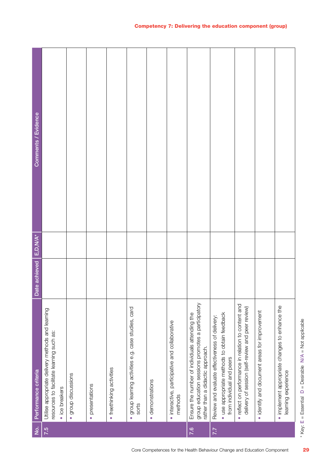| $\dot{2}$ | Performance criteria                                                                                                                    | Date achieved | E, D, N/A* | Comments / Evidence |
|-----------|-----------------------------------------------------------------------------------------------------------------------------------------|---------------|------------|---------------------|
| 7.5       | Utilise appropriate delivery methods and learning<br>resources to facilitate learning such as:<br>· ice breakers                        |               |            |                     |
|           | · group discussions                                                                                                                     |               |            |                     |
|           | · presentations                                                                                                                         |               |            |                     |
|           | · freethinking activities                                                                                                               |               |            |                     |
|           | · group learning activities e.g. case studies, card<br>sorts                                                                            |               |            |                     |
|           | · demonstrations                                                                                                                        |               |            |                     |
|           | · interactive, participative and collaborative<br>methods                                                                               |               |            |                     |
| 7.6       | group education sessions promotes a participatory<br>Ensure the number of individuals attending the<br>rather than a didactic approach. |               |            |                     |
| 7.7       | · use appropriate methods to obtain feedback<br>Review and evaluate effectiveness of delivery:<br>from individual and peers             |               |            |                     |
|           | · reflect on performance in relation to content and<br>delivery of session (self-review and peer review)                                |               |            |                     |
|           | · identify and document areas for improvement                                                                                           |               |            |                     |
|           | · implement appropriate changes to enhance the<br>learning experience                                                                   |               |            |                     |

<sup>\*</sup> Key:  $E = E$ ssential  $D =$  Desirable N/A = Not applicable  $D =$  Desirable  $N/A =$  Not applicable \* Key: E = Essential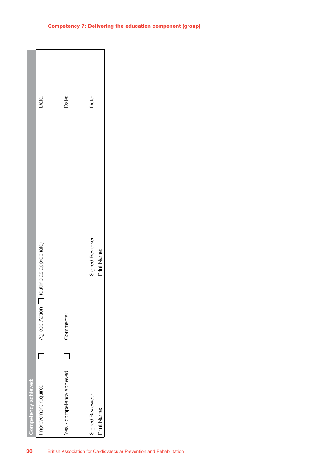| Date:<br>Date:<br>Date:<br>Signed Reviewer:<br>Agreed Action [ ] (outline as appropriate)<br>Print Name:<br>Comments: |                      |                      |                           |                  |  |
|-----------------------------------------------------------------------------------------------------------------------|----------------------|----------------------|---------------------------|------------------|--|
|                                                                                                                       |                      |                      |                           |                  |  |
|                                                                                                                       |                      |                      |                           |                  |  |
|                                                                                                                       |                      |                      |                           |                  |  |
|                                                                                                                       |                      |                      |                           |                  |  |
| Print Name:                                                                                                           | Competency achieved: | Improvement required | Yes - competency achieved | Signed Reviewee: |  |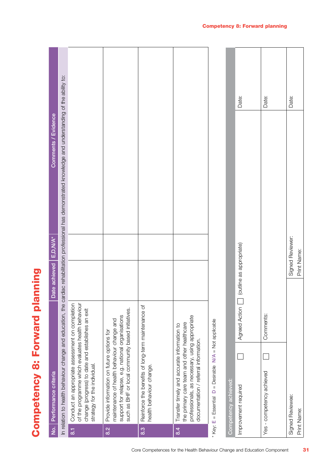Competency 8: Forward planning **Competency 8: Forward planning** 

| $\overline{e}$           | Performance criteria                                                                                                                                                                             | Date achieved E,D,N/A*   | Comments / Evidence                                                                                                                                           |       |
|--------------------------|--------------------------------------------------------------------------------------------------------------------------------------------------------------------------------------------------|--------------------------|---------------------------------------------------------------------------------------------------------------------------------------------------------------|-------|
|                          |                                                                                                                                                                                                  |                          |                                                                                                                                                               |       |
|                          |                                                                                                                                                                                                  |                          | In relation to health behaviour change and education, the cardiac rehabilitation professional has demonstrated knowledge and understanding of the ability to: |       |
| $\overline{\textrm{so}}$ | Conduct an appropriate assessment on completion<br>of the programme which evaluates health behaviour<br>change (progress) to date and establishes an exit<br>strategy for the individual.        |                          |                                                                                                                                                               |       |
| 8.2                      | such as BHF or local community based initiatives.<br>support for relapse, e.g. national organisations<br>maintenance of health behaviour change and<br>Provide information on future options for |                          |                                                                                                                                                               |       |
| $\overline{8}$           | Reinforce the benefits of long-term maintenance of<br>health behaviour change.                                                                                                                   |                          |                                                                                                                                                               |       |
| 8.4                      | professionals, as necessary, using appropriate<br>the primary care team and other healthcare<br>Transfer timely and accurate information to<br>documentation / referral information.             |                          |                                                                                                                                                               |       |
|                          | = Desirable N/A = Not applicable<br>$\Box$<br>* Key: $E = E$ ssential                                                                                                                            |                          |                                                                                                                                                               |       |
|                          | Competency achieved:                                                                                                                                                                             |                          |                                                                                                                                                               |       |
|                          | Agreed Action<br>Improvement required                                                                                                                                                            | (outline as appropriate) |                                                                                                                                                               | Date: |
|                          | Comments:<br>Yes - competency achieved                                                                                                                                                           |                          |                                                                                                                                                               | Date: |
|                          | Signed Reviewee:<br>Print Name:                                                                                                                                                                  | Print Name:              | Signed Reviewer:                                                                                                                                              | Date: |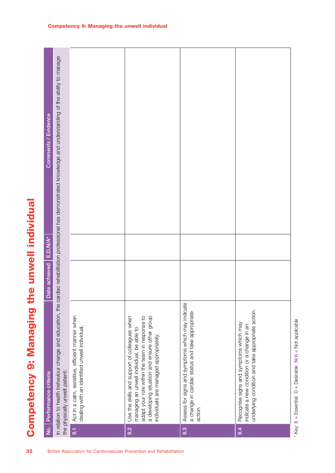|                          | In relation to health behaviour change and education, the car                                          | Act in a calm, sensitive, efficient manner when | adapt your role within the team in response to<br>a developing situation and ensure other group<br>Use the skills and support of colleagues when | Assess for signs and symptoms which may indicate<br>a change in cardiac status and take appropriate | underlying condition and take appropriate action. |
|--------------------------|--------------------------------------------------------------------------------------------------------|-------------------------------------------------|--------------------------------------------------------------------------------------------------------------------------------------------------|-----------------------------------------------------------------------------------------------------|---------------------------------------------------|
| Date achieved   E,D,N/A* |                                                                                                        |                                                 |                                                                                                                                                  |                                                                                                     |                                                   |
| Comments / Evidence      | diac rehabilitation professional has demonstrated knowledge and understanding of the ability to manage |                                                 |                                                                                                                                                  |                                                                                                     |                                                   |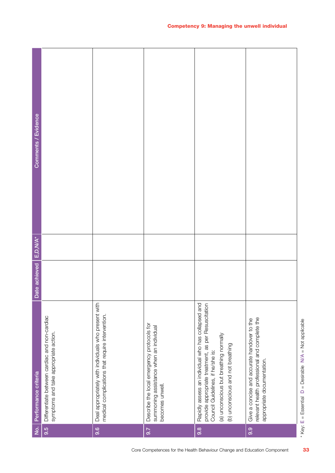\* Key: E = Essential

 $D =$  Desirable  $N/A =$  Not applicable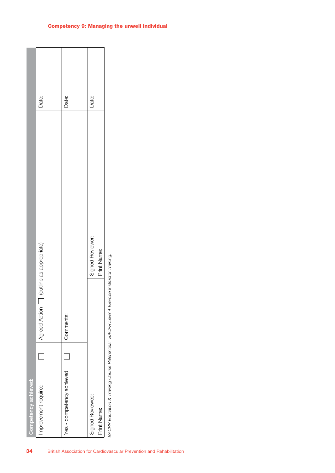|                      | Date:                                     | Date:                     | Date:                           |                                                                                           |
|----------------------|-------------------------------------------|---------------------------|---------------------------------|-------------------------------------------------------------------------------------------|
|                      |                                           |                           | Signed Reviewer:<br>Print Name: |                                                                                           |
|                      | (outline as appropriate)<br>Agreed Action | Comments:                 |                                 | BACPR Education & Training Course References: BACPR Level 4 Exercise Instructor Training. |
|                      |                                           |                           |                                 |                                                                                           |
| Competency achieved: | Improvement required                      | Yes - competency achieved | Signed Reviewee:<br>Print Name: |                                                                                           |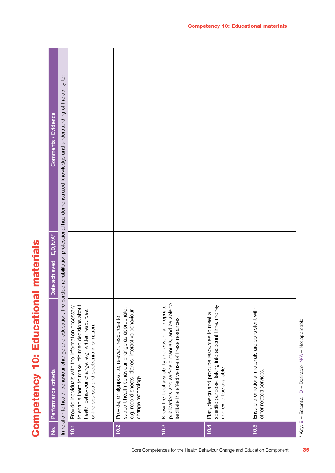Competency 10: Educational materials **Competency 10: Educational materials** 

| Comments / Evidence  | In relation to health behaviour change and education, the cardiac rehabilitation professional has demonstrated knowledge and understanding of the ability to: |                                                                                                                                                                                                         |                                                                                                                                                                               |                                                                                                                                                               |                                                                                                                               |                                                                             |
|----------------------|---------------------------------------------------------------------------------------------------------------------------------------------------------------|---------------------------------------------------------------------------------------------------------------------------------------------------------------------------------------------------------|-------------------------------------------------------------------------------------------------------------------------------------------------------------------------------|---------------------------------------------------------------------------------------------------------------------------------------------------------------|-------------------------------------------------------------------------------------------------------------------------------|-----------------------------------------------------------------------------|
| E, D, N/A*           |                                                                                                                                                               |                                                                                                                                                                                                         |                                                                                                                                                                               |                                                                                                                                                               |                                                                                                                               |                                                                             |
| Date achieved        |                                                                                                                                                               |                                                                                                                                                                                                         |                                                                                                                                                                               |                                                                                                                                                               |                                                                                                                               |                                                                             |
| Performance criteria |                                                                                                                                                               | to enable them to make informed decisions about<br>Provide individuals with the information necessary<br>health behaviour change, e.g. written resources,<br>online courses and electronic information. | support health behaviour change as appropriate,<br>e.g. record sheets, diaries, interactive behaviour<br>Provide, or signpost to, relevant resources to<br>change technology. | publications and self-help manuals, and be able to<br>Know the local availability and cost of appropriate<br>facilitate the effective use of these resources. | specific purpose, taking into account time, money<br>Plan, design and produce resources to meet a<br>and expertise available. | Ensure promotional materials are consistent with<br>other related services. |
| $\frac{1}{2}$        |                                                                                                                                                               | 10.1                                                                                                                                                                                                    | 10.2                                                                                                                                                                          | 10.3                                                                                                                                                          | 10.4                                                                                                                          | 10.5                                                                        |

 $*$  Key:  $E = E$ ssential  $D =$  Desirable  $N/A = N$ ot applicable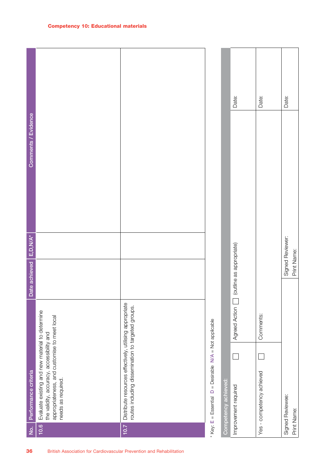| 36                                                                   | <u>isi</u> | Performance criteria                                                                                                                                               | Date achieved E,D, N/A*  |                  | Comments / Evidence |       |  |
|----------------------------------------------------------------------|------------|--------------------------------------------------------------------------------------------------------------------------------------------------------------------|--------------------------|------------------|---------------------|-------|--|
| British Association for Cardiovascular Prevention and Rehabilitation | 10.6       | Evaluate existing and new material to determine<br>appropriateness, and customise to meet local<br>the validity, accuracy, accessibility and<br>needs as required. |                          |                  |                     |       |  |
|                                                                      | 10.7       | Distribute resources effectively, utilising appropriate<br>routes including dissemination to targeted groups.                                                      |                          |                  |                     |       |  |
|                                                                      |            | $D =$ Desirable $N/A =$ Not applicable<br>$*$ Key: $E = E$ ssential                                                                                                |                          |                  |                     |       |  |
|                                                                      |            | Competency achieved:                                                                                                                                               |                          |                  |                     |       |  |
|                                                                      |            | Agreed Action<br>Improvement required                                                                                                                              | (outline as appropriate) |                  |                     | Date: |  |
|                                                                      |            | Comments:<br>Yes - competency achieved                                                                                                                             |                          |                  |                     | Date: |  |
|                                                                      |            | Signed Reviewee:<br>Print Name:                                                                                                                                    | Print Name:              | Signed Reviewer: |                     | Date: |  |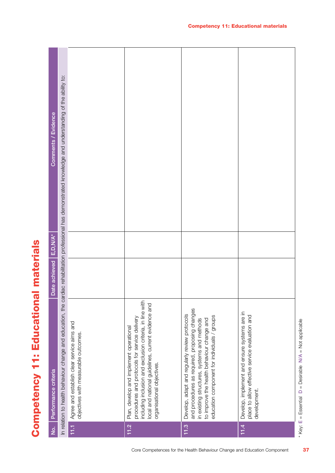

| Comments / Evidence  | In relation to health behaviour change and education, the cardiac rehabilitation professional has demonstrated knowledge and understanding of the ability to: |                                                                                    |                                                                                                                                                                                                                                           |                                                                                                                                                                                                                                             |                                                                                                                 |
|----------------------|---------------------------------------------------------------------------------------------------------------------------------------------------------------|------------------------------------------------------------------------------------|-------------------------------------------------------------------------------------------------------------------------------------------------------------------------------------------------------------------------------------------|---------------------------------------------------------------------------------------------------------------------------------------------------------------------------------------------------------------------------------------------|-----------------------------------------------------------------------------------------------------------------|
| E, D, N/A*           |                                                                                                                                                               |                                                                                    |                                                                                                                                                                                                                                           |                                                                                                                                                                                                                                             |                                                                                                                 |
| Date achieved        |                                                                                                                                                               |                                                                                    |                                                                                                                                                                                                                                           |                                                                                                                                                                                                                                             |                                                                                                                 |
| Performance criteria |                                                                                                                                                               | Agree and establish clear service aims and<br>objectives with measurable outcomes. | including inclusion and exclusion criteria, in line with<br>local and national guidelines, current evidence and<br>procedures and protocols for service delivery<br>Plan, develop and implement operational<br>organisational objectives. | and procedures as required, proposing changes<br>Develop, adapt and regularly review protocols<br>education component for individuals / groups<br>in existing structures, systems and methods<br>to improve the health behaviour change and | Develop, implement and ensure systems are in<br>place to allow effective service evaluation and<br>development. |
| $\dot{z}$            |                                                                                                                                                               | 11.1                                                                               | 11.2                                                                                                                                                                                                                                      | 11.3                                                                                                                                                                                                                                        | 11.4                                                                                                            |

\* Key:  $E = E$ ssential  $D =$  Desirable  $N/A = N$ ot applicable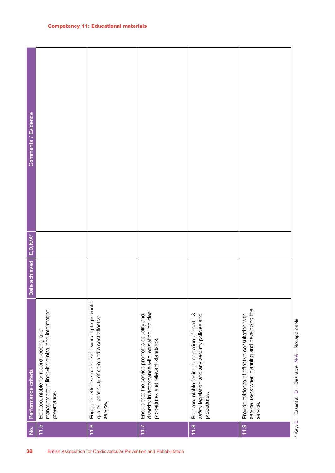| Comments / Evidence  |                                                                                                          |                                                                                                                    |                                                                                                                                            |                                                                                                                  |                                                                                                               |
|----------------------|----------------------------------------------------------------------------------------------------------|--------------------------------------------------------------------------------------------------------------------|--------------------------------------------------------------------------------------------------------------------------------------------|------------------------------------------------------------------------------------------------------------------|---------------------------------------------------------------------------------------------------------------|
| $E, D, N/A^*$        |                                                                                                          |                                                                                                                    |                                                                                                                                            |                                                                                                                  |                                                                                                               |
| Date achieved        |                                                                                                          |                                                                                                                    |                                                                                                                                            |                                                                                                                  |                                                                                                               |
| Performance criteria | management in line with clinical and information<br>Be accountable for record keeping and<br>governance. | Engage in effective partnership working to promote<br>quality, continuity of care and a cost effective<br>service. | diversity in accordance with legislation, policies,<br>Ensure that the service promotes equality and<br>procedures and relevant standards. | Be accountable for implementation of health &<br>safety legislation and any security policies and<br>procedures. | service users when planning and developing the<br>Provide evidence of effective consultation with<br>service. |
| $\dot{2}$            | 11.5                                                                                                     | 11.6                                                                                                               | 11.7                                                                                                                                       | 11.8                                                                                                             | 11.9                                                                                                          |
| 38                   |                                                                                                          | British Association for Cardiovascular Prevention and Rehabilitation                                               |                                                                                                                                            |                                                                                                                  |                                                                                                               |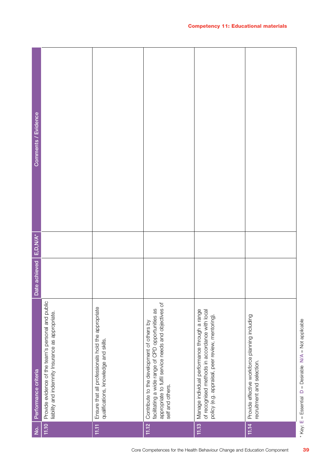| Comments / Evidence  |                                                                                                         |                                                                                             |                                                                                                                                                                              |                                                                                                                                                     |                                                                              |
|----------------------|---------------------------------------------------------------------------------------------------------|---------------------------------------------------------------------------------------------|------------------------------------------------------------------------------------------------------------------------------------------------------------------------------|-----------------------------------------------------------------------------------------------------------------------------------------------------|------------------------------------------------------------------------------|
| $E, D, W/A^*$        |                                                                                                         |                                                                                             |                                                                                                                                                                              |                                                                                                                                                     |                                                                              |
| Date achieved        |                                                                                                         |                                                                                             |                                                                                                                                                                              |                                                                                                                                                     |                                                                              |
| Performance criteria | Provide evidence of the team's personal and public<br>liability and indemnity Insurance as appropriate. | Ensure that all professionals hold the appropriate<br>qualifications, knowledge and skills. | appropriate to fulfil service needs and objectives of<br>facilitating a wide range of CPD opportunities as<br>Contribute to the development of others by<br>self and others. | Manage individual performance through a range<br>of recognised methods in accordance with local<br>policy (e.g. appraisal, peer review, mentoring). | Provide effective workforce planning including<br>recruitment and selection. |
| $\dot{q}$            | 11.10                                                                                                   | 11.11                                                                                       | 11.12                                                                                                                                                                        | 11.13                                                                                                                                               | 11.14                                                                        |

\* Key: E = Essential

 $D =$  Desirable  $N/A =$  Not applicable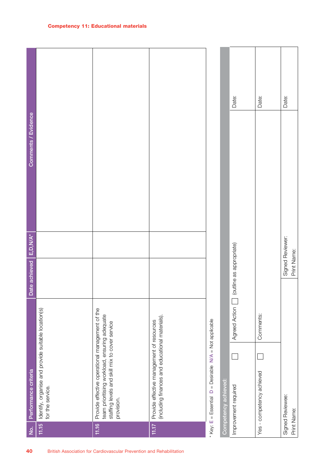| 40                                                                   | $\dot{z}$   | Performance criteria                                                                                                                                             | Date achieved   E,D,N/A* |                  | Comments / Evidence |       |  |
|----------------------------------------------------------------------|-------------|------------------------------------------------------------------------------------------------------------------------------------------------------------------|--------------------------|------------------|---------------------|-------|--|
|                                                                      | 11.15       | Identify, organise and provide suitable location(s)<br>for the service.                                                                                          |                          |                  |                     |       |  |
| British Association for Cardiovascular Prevention and Rehabilitation | 11.16       | Provide effective operational management of the<br>team prioritising workload, ensuring adequate<br>staffing levels and skill mix to cover service<br>provision. |                          |                  |                     |       |  |
|                                                                      | 11.17       | (including finances and educational materials).<br>Provide effective management of resources                                                                     |                          |                  |                     |       |  |
|                                                                      |             | * Key: E = Essential D = Desirable N/A = Not applicable                                                                                                          |                          |                  |                     |       |  |
|                                                                      |             | Competency achieved:                                                                                                                                             |                          |                  |                     |       |  |
|                                                                      |             | <b>Agreed Action</b><br>Improvement required                                                                                                                     | (outline as appropriate) |                  |                     | Date: |  |
|                                                                      |             | Comments:<br>Yes - competency achieved                                                                                                                           |                          |                  |                     | Date: |  |
|                                                                      | Print Name: | Signed Reviewee:                                                                                                                                                 | Print Name:              | Signed Reviewer: |                     | Date: |  |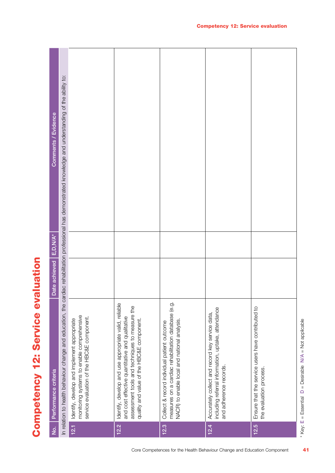Competency 12: Service evaluation **Competency 12: Service evaluation** 

| $\dot{\mathsf{z}}$ | Performance criteria                                                                                                                                                                                    | Date achieved   E,D,N/A* | Comments / Evidence                                                                                                                                           |
|--------------------|---------------------------------------------------------------------------------------------------------------------------------------------------------------------------------------------------------|--------------------------|---------------------------------------------------------------------------------------------------------------------------------------------------------------|
|                    |                                                                                                                                                                                                         |                          | In relation to health behaviour change and education, the cardiac rehabilitation professional has demonstrated knowledge and understanding of the ability to: |
| 12.1               | monitoring systems to enable comprehensive<br>service evaluation of the HBC&E component.<br>Identify, develop and implement appropriate                                                                 |                          |                                                                                                                                                               |
| 12.2               | Identify, develop and use appropriate valid, reliable<br>assessment tools and techniques to measure the<br>and cost effective quantitative and qualitative<br>quality and value of the HBC&E component. |                          |                                                                                                                                                               |
| 12.3               | measures on a cardiac rehabilitation database (e.g.<br>NACR) to enable local and national analysis.<br>Collect & record individual patient outcome                                                      |                          |                                                                                                                                                               |
| 12.4               | including referral information, uptake, attendance<br>Accurately collect and record key service data,<br>and adherence records.                                                                         |                          |                                                                                                                                                               |
| 12.5               | Ensure that the service users have contributed to<br>the evaluation process.                                                                                                                            |                          |                                                                                                                                                               |
|                    | * Key: $E = E$ ssential $D =$ Desirable N/A = Not applicable                                                                                                                                            |                          |                                                                                                                                                               |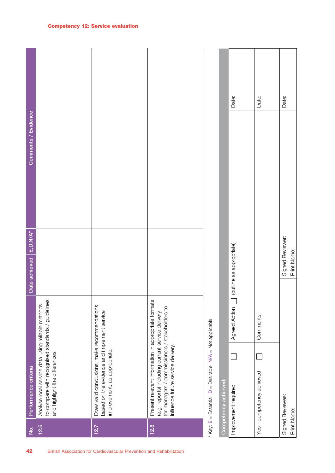| 42                                                                   | $\dot{z}$   | Performance criteria                                                                                                                                                                             | Date achieved                   | Comments / Evidence<br>$E, D, N/A^*$ |       |
|----------------------------------------------------------------------|-------------|--------------------------------------------------------------------------------------------------------------------------------------------------------------------------------------------------|---------------------------------|--------------------------------------|-------|
|                                                                      | 12.6        | to compare with recognised standards / guidelines<br>Analyse local service data using reliable methods<br>and highlight the differences.                                                         |                                 |                                      |       |
| British Association for Cardiovascular Prevention and Rehabilitation | 12.7        | Draw valid conclusions, make recommendations<br>based on the evidence and implement service<br>improvement, as appropriate.                                                                      |                                 |                                      |       |
|                                                                      | 12.8        | Present relevant information in appropriate formats<br>for managers / commissioners / stakeholders to<br>(e.g. reports) including current service delivery<br>influence future service delivery. |                                 |                                      |       |
|                                                                      |             | $D =$ Desirable $N/A =$ Not applicable<br>$*$ Key: $E = E$ ssential                                                                                                                              |                                 |                                      |       |
|                                                                      |             | Competency achieved:                                                                                                                                                                             |                                 |                                      |       |
|                                                                      |             | Agreed Action<br>Improvement required                                                                                                                                                            | (outline as appropriate)        |                                      | Date: |
|                                                                      |             | Comments:<br>Yes - competency achieved                                                                                                                                                           |                                 |                                      | Date: |
|                                                                      | Print Name: | Signed Reviewee:                                                                                                                                                                                 | Signed Reviewer:<br>Print Name: |                                      | Date: |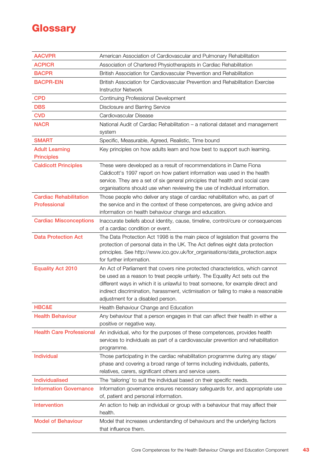# **Glossary**

| <b>AACVPR</b>                                 | American Association of Cardiovascular and Pulmonary Rehabilitation                                                                                                                                                                                                                                                                                                        |
|-----------------------------------------------|----------------------------------------------------------------------------------------------------------------------------------------------------------------------------------------------------------------------------------------------------------------------------------------------------------------------------------------------------------------------------|
| <b>ACPICR</b>                                 | Association of Chartered Physiotherapists in Cardiac Rehabilitation                                                                                                                                                                                                                                                                                                        |
| <b>BACPR</b>                                  | British Association for Cardiovascular Prevention and Rehabilitation                                                                                                                                                                                                                                                                                                       |
| <b>BACPR-EIN</b>                              | British Association for Cardiovascular Prevention and Rehabilitation Exercise                                                                                                                                                                                                                                                                                              |
|                                               | <b>Instructor Network</b>                                                                                                                                                                                                                                                                                                                                                  |
| <b>CPD</b>                                    | Continuing Professional Development                                                                                                                                                                                                                                                                                                                                        |
| <b>DBS</b>                                    | Disclosure and Barring Service                                                                                                                                                                                                                                                                                                                                             |
| <b>CVD</b>                                    | Cardiovascular Disease                                                                                                                                                                                                                                                                                                                                                     |
| <b>NACR</b>                                   | National Audit of Cardiac Rehabilitation - a national dataset and management<br>system                                                                                                                                                                                                                                                                                     |
| <b>SMART</b>                                  | Specific, Measurable, Agreed, Realistic, Time bound                                                                                                                                                                                                                                                                                                                        |
| <b>Adult Learning</b><br><b>Principles</b>    | Key principles on how adults learn and how best to support such learning.                                                                                                                                                                                                                                                                                                  |
| <b>Caldicott Principles</b>                   | These were developed as a result of recommendations in Dame Fiona<br>Caldicott's 1997 report on how patient information was used in the health<br>service. They are a set of six general principles that health and social care<br>organisations should use when reviewing the use of individual information.                                                              |
| <b>Cardiac Rehabilitation</b><br>Professional | Those people who deliver any stage of cardiac rehabilitation who, as part of<br>the service and in the context of these competences, are giving advice and<br>information on health behaviour change and education.                                                                                                                                                        |
| <b>Cardiac Misconceptions</b>                 | Inaccurate beliefs about identity, cause, timeline, control/cure or consequences<br>of a cardiac condition or event.                                                                                                                                                                                                                                                       |
| <b>Data Protection Act</b>                    | The Data Protection Act 1998 is the main piece of legislation that governs the<br>protection of personal data in the UK. The Act defines eight data protection<br>principles. See http://www.ico.gov.uk/for_organisations/data_protection.aspx<br>for further information.                                                                                                 |
| <b>Equality Act 2010</b>                      | An Act of Parliament that covers nine protected characteristics, which cannot<br>be used as a reason to treat people unfairly. The Equality Act sets out the<br>different ways in which it is unlawful to treat someone, for example direct and<br>indirect discrimination, harassment, victimisation or failing to make a reasonable<br>adjustment for a disabled person. |
| HBC&E                                         | Health Behaviour Change and Education                                                                                                                                                                                                                                                                                                                                      |
| <b>Health Behaviour</b>                       | Any behaviour that a person engages in that can affect their health in either a<br>positive or negative way.                                                                                                                                                                                                                                                               |
| <b>Health Care Professional</b>               | An individual, who for the purposes of these competences, provides health<br>services to individuals as part of a cardiovascular prevention and rehabilitation<br>programme.                                                                                                                                                                                               |
| <b>Individual</b>                             | Those participating in the cardiac rehabilitation programme during any stage/<br>phase and covering a broad range of terms including individuals, patients,<br>relatives, carers, significant others and service users.                                                                                                                                                    |
| <b>Individualised</b>                         | The 'tailoring' to suit the individual based on their specific needs.                                                                                                                                                                                                                                                                                                      |
| <b>Information Governance</b>                 | Information governance ensures necessary safeguards for, and appropriate use<br>of, patient and personal information.                                                                                                                                                                                                                                                      |
| <b>Intervention</b>                           | An action to help an individual or group with a behaviour that may affect their<br>health.                                                                                                                                                                                                                                                                                 |
| <b>Model of Behaviour</b>                     | Model that increases understanding of behaviours and the underlying factors<br>that influence them.                                                                                                                                                                                                                                                                        |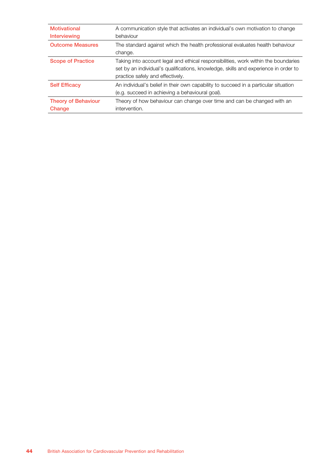| <b>Motivational</b><br>Interviewing  | A communication style that activates an individual's own motivation to change<br>behaviour                                                                                                                    |
|--------------------------------------|---------------------------------------------------------------------------------------------------------------------------------------------------------------------------------------------------------------|
| <b>Outcome Measures</b>              | The standard against which the health professional evaluates health behaviour<br>change.                                                                                                                      |
| <b>Scope of Practice</b>             | Taking into account legal and ethical responsibilities, work within the boundaries<br>set by an individual's qualifications, knowledge, skills and experience in order to<br>practice safely and effectively. |
| <b>Self Efficacy</b>                 | An individual's belief in their own capability to succeed in a particular situation<br>(e.g. succeed in achieving a behavioural goal).                                                                        |
| <b>Theory of Behaviour</b><br>Change | Theory of how behaviour can change over time and can be changed with an<br>intervention.                                                                                                                      |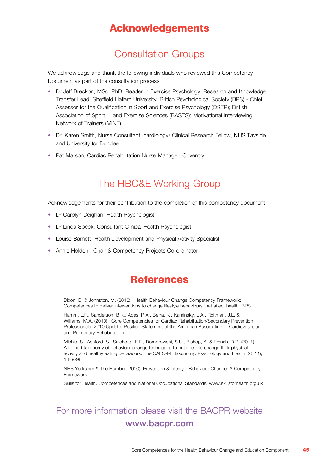#### Acknowledgements

#### Consultation Groups

We acknowledge and thank the following individuals who reviewed this Competency Document as part of the consultation process:

- Dr Jeff Breckon, MSc, PhD. Reader in Exercise Psychology, Research and Knowledge Transfer Lead. Sheffield Hallam University. British Psychological Society (BPS) - Chief Assessor for the Qualification in Sport and Exercise Psychology (QSEP); British Association of Sport and Exercise Sciences (BASES); Motivational Interviewing Network of Trainers (MINT)
- Dr. Karen Smith, Nurse Consultant, cardiology/ Clinical Research Fellow, NHS Tayside and University for Dundee
- Pat Marson, Cardiac Rehabilitation Nurse Manager, Coventry.

#### The HBC&E Working Group

Acknowledgements for their contribution to the completion of this competency document:

- Dr Carolyn Deighan, Health Psychologist
- Dr Linda Speck, Consultant Clinical Health Psychologist
- Louise Barnett, Health Development and Physical Activity Specialist
- Annie Holden, Chair & Competency Projects Co-ordinator

#### References

Dixon, D. & Johnston, M. (2010). Health Behaviour Change Competency Framework: Competences to deliver interventions to change lifestyle behaviours that affect health. BPS.

Hamm, L.F., Sanderson, B.K., Ades, P.A., Berra, K., Kaminsky, L.A., Roitman, J.L. & Williams, M.A. (2010). Core Competencies for Cardiac Rehabilitation/Secondary Prevention Professionals: 2010 Update. Position Statement of the American Association of Cardiovascular and Pulmonary Rehabilitation.

Michie, S., Ashford, S., Sniehotta, F.F., Dombrowshi, S.U., Bishop, A. & French, D.P. (2011). A refined taxonomy of behaviour change techniques to help people change their physical activity and healthy eating behaviours: The CALO-RE taxonomy. Psychology and Health, 26(11), 1479-98.

NHS Yorkshire & The Humber (2010). Prevention & Lifestyle Behaviour Change: A Competency **Framework** 

Skills for Health. Competences and National Occupational Standards. www.skillsforhealth.org.uk

#### For more information please visit the BACPR website www.bacpr.com